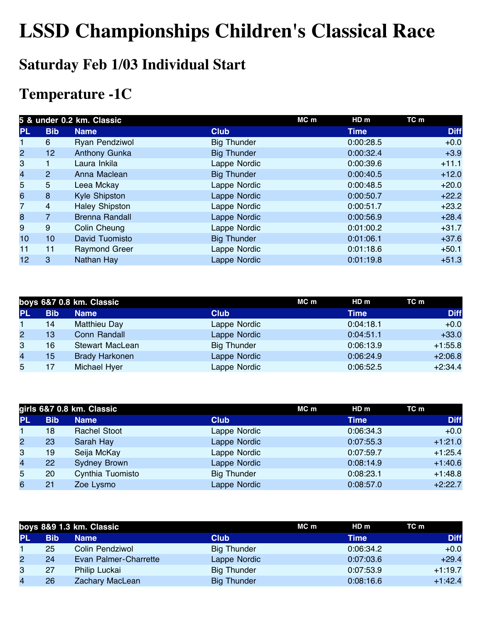## **LSSD Championships Children's Classical Race**

### **Saturday Feb 1/03 Individual Start**

### **Temperature -1C**

|                         | 5 & under 0.2 km. Classic |                       |                    | MC m | HD m      | TC m        |
|-------------------------|---------------------------|-----------------------|--------------------|------|-----------|-------------|
| <b>PL</b>               | <b>Bib</b>                | <b>Name</b>           | <b>Club</b>        |      | Time      | <b>Diff</b> |
| 1                       | 6                         | Ryan Pendziwol        | <b>Big Thunder</b> |      | 0:00:28.5 | $+0.0$      |
| $\overline{2}$          | 12 <sub>2</sub>           | <b>Anthony Gunka</b>  | <b>Big Thunder</b> |      | 0:00:32.4 | $+3.9$      |
| 3                       |                           | Laura Inkila          | Lappe Nordic       |      | 0:00:39.6 | $+11.1$     |
| $\overline{\mathbf{4}}$ | $\overline{2}$            | Anna Maclean          | <b>Big Thunder</b> |      | 0:00:40.5 | $+12.0$     |
| 5                       | $5\phantom{.}$            | Leea Mckay            | Lappe Nordic       |      | 0:00:48.5 | $+20.0$     |
| 6                       | 8                         | <b>Kyle Shipston</b>  | Lappe Nordic       |      | 0:00:50.7 | $+22.2$     |
| $\overline{7}$          | 4                         | <b>Haley Shipston</b> | Lappe Nordic       |      | 0:00:51.7 | $+23.2$     |
| 8                       | 7                         | <b>Brenna Randall</b> | Lappe Nordic       |      | 0:00:56.9 | $+28.4$     |
| 9                       | 9                         | Colin Cheung          | Lappe Nordic       |      | 0:01:00.2 | $+31.7$     |
| 10                      | 10 <sup>1</sup>           | David Tuomisto        | <b>Big Thunder</b> |      | 0:01:06.1 | $+37.6$     |
| 11                      | 11                        | <b>Raymond Greer</b>  | Lappe Nordic       |      | 0:01:18.6 | $+50.1$     |
| 12                      | 3                         | Nathan Hay            | Lappe Nordic       |      | 0:01:19.8 | $+51.3$     |

|                | boys 6&7 0.8 km. Classic |                       |                    | MC m | HD m        | TC m        |
|----------------|--------------------------|-----------------------|--------------------|------|-------------|-------------|
| <b>PL</b>      | <b>Bib</b>               | <b>Name</b>           | <b>Club</b>        |      | <b>Time</b> | <b>Diff</b> |
| $\mathbf 1$    | 14                       | <b>Matthieu Day</b>   | Lappe Nordic       |      | 0:04:18.1   | $+0.0$      |
| $\overline{2}$ | 13                       | Conn Randall          | Lappe Nordic       |      | 0:04:51.1   | $+33.0$     |
| 3              | 16                       | Stewart MacLean       | <b>Big Thunder</b> |      | 0:06:13.9   | $+1:55.8$   |
| 4              | 15                       | <b>Brady Harkonen</b> | Lappe Nordic       |      | 0:06:24.9   | $+2:06.8$   |
| 5              |                          | Michael Hyer          | Lappe Nordic       |      | 0:06:52.5   | $+2:34.4$   |
|                |                          |                       |                    |      |             |             |

|                | girls 6&7 0.8 km. Classic |                     |                    | $MC$ m | HD <sub>m</sub> | TC m        |
|----------------|---------------------------|---------------------|--------------------|--------|-----------------|-------------|
| <b>PL</b>      | <b>Bib</b>                | <b>Name</b>         | <b>Club</b>        |        | <b>Time</b>     | <b>Diff</b> |
|                | 18                        | <b>Rachel Stoot</b> | Lappe Nordic       |        | 0:06:34.3       | $+0.0$      |
| $\overline{2}$ | 23                        | Sarah Hay           | Lappe Nordic       |        | 0:07:55.3       | $+1:21.0$   |
| 3              | 19                        | Seija McKay         | Lappe Nordic       |        | 0:07:59.7       | $+1:25.4$   |
| 4              | 22                        | <b>Sydney Brown</b> | Lappe Nordic       |        | 0:08:14.9       | $+1:40.6$   |
| 5              | 20                        | Cynthia Tuomisto    | <b>Big Thunder</b> |        | 0:08:23.1       | $+1:48.8$   |
| 6              | 21                        | Zoe Lysmo           | Lappe Nordic       |        | 0:08:57.0       | $+2:22.7$   |

|                | boys 8&9 1.3 km. Classic |                       |                    | MC m | HDm       | TC m        |
|----------------|--------------------------|-----------------------|--------------------|------|-----------|-------------|
| <b>PL</b>      | Bib                      | <b>Name</b>           | <b>Club</b>        |      | Time      | <b>Diff</b> |
|                | 25                       | Colin Pendziwol       | <b>Big Thunder</b> |      | 0:06:34.2 | $+0.0$      |
| $\overline{2}$ | 24                       | Evan Palmer-Charrette | Lappe Nordic       |      | 0:07:03.6 | $+29.4$     |
| 3              | 27                       | Philip Luckai         | <b>Big Thunder</b> |      | 0:07:53.9 | $+1:19.7$   |
| 4              | 26                       | Zachary MacLean       | <b>Big Thunder</b> |      | 0:08:16.6 | $+1:42.4$   |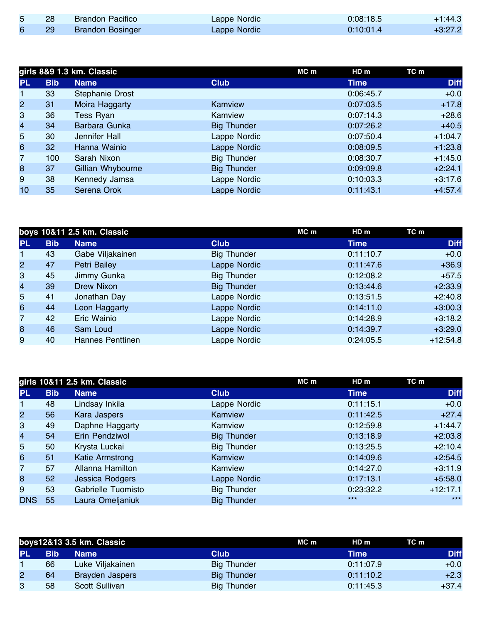|     | <b>Brandon Pacifico</b> | Lappe Nordic | 0:08:18.5 | $+1:44.3$ |
|-----|-------------------------|--------------|-----------|-----------|
| -29 | <b>Brandon Bosinger</b> | Lappe Nordic | 0:10:01.4 | $+3:27.2$ |

|                | girls 8&9 1.3 km. Classic |                   |                    |  | HD m      | TC m        |
|----------------|---------------------------|-------------------|--------------------|--|-----------|-------------|
| <b>PL</b>      | <b>Bib</b>                | <b>Name</b>       | <b>Club</b>        |  | Time      | <b>Diff</b> |
| 1              | 33                        | Stephanie Drost   |                    |  | 0:06:45.7 | $+0.0$      |
| $\overline{2}$ | 31                        | Moira Haggarty    | Kamview            |  | 0:07:03.5 | $+17.8$     |
| 3              | 36                        | Tess Ryan         | Kamview            |  | 0:07:14.3 | $+28.6$     |
| $\overline{4}$ | 34                        | Barbara Gunka     | <b>Big Thunder</b> |  | 0:07:26.2 | $+40.5$     |
| 5              | 30                        | Jennifer Hall     | Lappe Nordic       |  | 0:07:50.4 | $+1:04.7$   |
| 6              | 32                        | Hanna Wainio      | Lappe Nordic       |  | 0:08:09.5 | $+1:23.8$   |
| $\overline{7}$ | 100                       | Sarah Nixon       | <b>Big Thunder</b> |  | 0:08:30.7 | $+1:45.0$   |
| 8              | 37                        | Gillian Whybourne | <b>Big Thunder</b> |  | 0:09:09.8 | $+2:24.1$   |
| 9              | 38                        | Kennedy Jamsa     | Lappe Nordic       |  | 0:10:03.3 | $+3:17.6$   |
| 10             | 35                        | Serena Orok       | Lappe Nordic       |  | 0:11:43.1 | $+4:57.4$   |
|                |                           |                   |                    |  |           |             |

|                |            | boys 10&11 2.5 km. Classic |                    | MC m | HD m        | TC m        |
|----------------|------------|----------------------------|--------------------|------|-------------|-------------|
| <b>PL</b>      | <b>Bib</b> | <b>Name</b>                | <b>Club</b>        |      | <b>Time</b> | <b>Diff</b> |
| 1              | 43         | Gabe Viljakainen           | <b>Big Thunder</b> |      | 0:11:10.7   | $+0.0$      |
| $\overline{2}$ | 47         | Petri Bailey               | Lappe Nordic       |      | 0:11:47.6   | $+36.9$     |
| 3              | 45         | Jimmy Gunka                | <b>Big Thunder</b> |      | 0:12:08.2   | $+57.5$     |
| $\overline{4}$ | 39         | Drew Nixon                 | <b>Big Thunder</b> |      | 0:13:44.6   | $+2:33.9$   |
| 5              | 41         | Jonathan Day               | Lappe Nordic       |      | 0:13:51.5   | $+2:40.8$   |
| 6              | 44         | Leon Haggarty              | Lappe Nordic       |      | 0:14:11.0   | $+3:00.3$   |
| 7              | 42         | Eric Wainio                | Lappe Nordic       |      | 0:14:28.9   | $+3:18.2$   |
| 8              | 46         | Sam Loud                   | Lappe Nordic       |      | 0:14:39.7   | $+3:29.0$   |
| 9              | 40         | Hannes Penttinen           | Lappe Nordic       |      | 0:24:05.5   | $+12:54.8$  |

|                |            | girls 10&11 2.5 km. Classic |                    | MC m | HD <sub>m</sub> | TC m        |
|----------------|------------|-----------------------------|--------------------|------|-----------------|-------------|
| <b>PL</b>      | <b>Bib</b> | <b>Name</b>                 | <b>Club</b>        |      | <b>Time</b>     | <b>Diff</b> |
| 1              | 48         | Lindsay Inkila              | Lappe Nordic       |      | 0:11:15.1       | $+0.0$      |
| $\overline{2}$ | 56         | Kara Jaspers                | Kamview            |      | 0:11:42.5       | $+27.4$     |
| 3              | 49         | Daphne Haggarty             | Kamview            |      | 0:12:59.8       | $+1:44.7$   |
| $\overline{4}$ | 54         | Erin Pendziwol              | <b>Big Thunder</b> |      | 0:13:18.9       | $+2:03.8$   |
| 5              | 50         | Krysta Luckai               | <b>Big Thunder</b> |      | 0:13:25.5       | $+2:10.4$   |
| 6              | 51         | Katie Armstrong             | Kamview            |      | 0:14:09.6       | $+2:54.5$   |
| $\overline{7}$ | 57         | Allanna Hamilton            | Kamview            |      | 0:14:27.0       | $+3:11.9$   |
| 8              | 52         | Jessica Rodgers             | Lappe Nordic       |      | 0:17:13.1       | $+5:58.0$   |
| 9              | 53         | Gabrielle Tuomisto          | <b>Big Thunder</b> |      | 0:23:32.2       | $+12:17.1$  |
| <b>DNS</b>     | 55         | Laura Omeljaniuk            | <b>Big Thunder</b> |      | $***$           | $***$       |

|           | boys12&13 3.5 km. Classic |                       |                    | HD <sub>m</sub><br>MC m | TC m        |
|-----------|---------------------------|-----------------------|--------------------|-------------------------|-------------|
| <b>PL</b> | <b>Bib</b>                | <b>Name</b>           | <b>Club</b>        | Time                    | <b>Diff</b> |
|           | 66                        | Luke Viljakainen      | <b>Big Thunder</b> | 0:11:07.9               | $+0.0$      |
| 2         | 64                        | Brayden Jaspers       | <b>Big Thunder</b> | 0:11:10.2               | $+2.3$      |
| 3         | 58                        | <b>Scott Sullivan</b> | <b>Big Thunder</b> | 0:11:45.3               | $+37.4$     |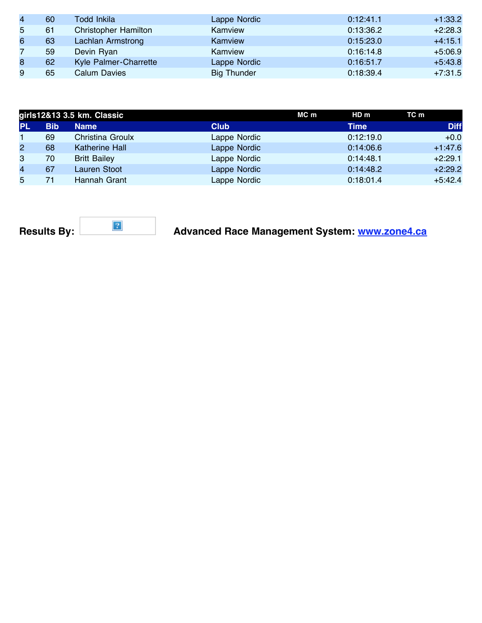| 60 | Todd Inkila                 | Lappe Nordic       | 0:12:41.1 | $+1:33.2$ |
|----|-----------------------------|--------------------|-----------|-----------|
| 61 | <b>Christopher Hamilton</b> | Kamview            | 0:13:36.2 | $+2:28.3$ |
| 63 | Lachlan Armstrong           | Kamview            | 0:15:23.0 | $+4:15.1$ |
| 59 | Devin Ryan                  | Kamview            | 0:16:14.8 | $+5:06.9$ |
| 62 | Kyle Palmer-Charrette       | Lappe Nordic       | 0:16:51.7 | $+5:43.8$ |
| 65 | <b>Calum Davies</b>         | <b>Big Thunder</b> | 0:18:39.4 | $+7:31.5$ |
|    |                             |                    |           |           |

|                | girls12&13 3.5 km. Classic |                       |              | MC m | HDm       | TC m        |
|----------------|----------------------------|-----------------------|--------------|------|-----------|-------------|
| <b>PL</b>      | <b>Bib</b>                 | <b>Name</b>           | <b>Club</b>  |      | Time      | <b>Diff</b> |
| 1.             | 69                         | Christina Groulx      | Lappe Nordic |      | 0:12:19.0 | $+0.0$      |
| $\overline{2}$ | 68                         | <b>Katherine Hall</b> | Lappe Nordic |      | 0:14:06.6 | $+1:47.6$   |
| 3              | 70                         | <b>Britt Bailey</b>   | Lappe Nordic |      | 0:14:48.1 | $+2:29.1$   |
| 4              | 67                         | <b>Lauren Stoot</b>   | Lappe Nordic |      | 0:14:48.2 | $+2:29.2$   |
| 5              |                            | Hannah Grant          | Lappe Nordic |      | 0:18:01.4 | $+5:42.4$   |

### **Results By:** Results By: Results By: Results By: Advanced Race Management System: www.zone4.ca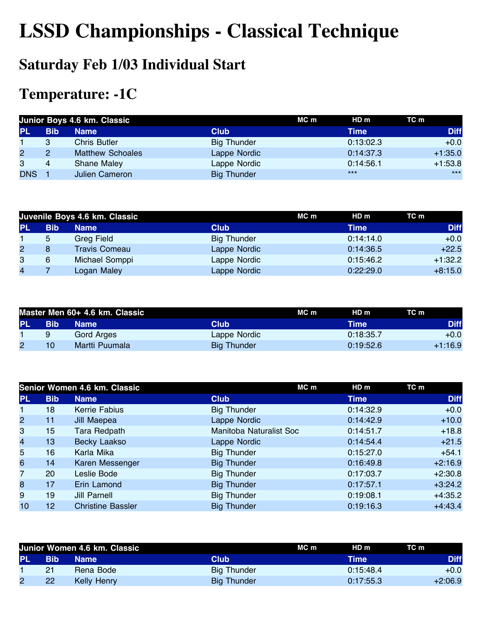# **LSSD Championships - Classical Technique**

### **Saturday Feb 1/03 Individual Start**

### **Temperature: -1C**

|                | Junior Boys 4.6 km. Classic |                         |                    | MC m | HD m        | TC m        |
|----------------|-----------------------------|-------------------------|--------------------|------|-------------|-------------|
| <b>PL</b>      | <b>Bib</b>                  | <b>Name</b>             | <b>Club</b>        |      | <b>Time</b> | <b>Diff</b> |
|                | 3                           | <b>Chris Butler</b>     | <b>Big Thunder</b> |      | 0:13:02.3   | $+0.0$      |
| $\overline{2}$ | 2                           | <b>Matthew Schoales</b> | Lappe Nordic       |      | 0:14:37.3   | $+1:35.0$   |
| 3              | 4                           | <b>Shane Maley</b>      | Lappe Nordic       |      | 0:14:56.1   | $+1:53.8$   |
| <b>DNS</b>     |                             | <b>Julien Cameron</b>   | <b>Big Thunder</b> |      | $***$       | $***$       |

|                | Juvenile Boys 4.6 km. Classic |                      |                    | MC m | HD m      | TC m        |
|----------------|-------------------------------|----------------------|--------------------|------|-----------|-------------|
| <b>PL</b>      | <b>Bib</b>                    | <b>Name</b>          | <b>Club</b>        |      | Time      | <b>Diff</b> |
|                | 5                             | Greg Field           | <b>Big Thunder</b> |      | 0:14:14.0 | $+0.0$      |
| $\overline{2}$ | 8                             | <b>Travis Comeau</b> | Lappe Nordic       |      | 0:14:36.5 | $+22.5$     |
| 3              | 6                             | Michael Somppi       | Lappe Nordic       |      | 0:15:46.2 | $+1:32.2$   |
| $\overline{4}$ |                               | Logan Maley          | Lappe Nordic       |      | 0:22:29.0 | $+8:15.0$   |

|     | Master Men 60+ 4.6 km. Classic |                |                    | MC m | HDm       | TC m        |
|-----|--------------------------------|----------------|--------------------|------|-----------|-------------|
| PL. | <b>Bib</b>                     | <b>Name</b>    | Club               |      | Time      | <b>Diff</b> |
|     | 9                              | Gord Arges     | Lappe Nordic       |      | 0:18:35.7 | $+0.0$      |
|     | 10                             | Martti Puumala | <b>Big Thunder</b> |      | 0:19:52.6 | $+1:16.9$   |

|                |            | Senior Women 4.6 km. Classic |                         | $MC$ m<br>HDm | TC m        |
|----------------|------------|------------------------------|-------------------------|---------------|-------------|
| <b>PL</b>      | <b>Bib</b> | <b>Name</b>                  | <b>Club</b>             | <b>Time</b>   | <b>Diff</b> |
| 1.             | 18         | Kerrie Fabius                | <b>Big Thunder</b>      | 0:14:32.9     | $+0.0$      |
| $\overline{2}$ | 11         | Jill Maepea                  | Lappe Nordic            | 0:14:42.9     | $+10.0$     |
| 3              | 15         | Tara Redpath                 | Manitoba Naturalist Soc | 0:14:51.7     | $+18.8$     |
| 4              | 13         | Becky Laakso                 | Lappe Nordic            | 0:14:54.4     | $+21.5$     |
| 5              | 16         | Karla Mika                   | <b>Big Thunder</b>      | 0:15:27.0     | $+54.1$     |
| 6              | 14         | Karen Messenger              | <b>Big Thunder</b>      | 0:16:49.8     | $+2:16.9$   |
| $\overline{7}$ | 20         | Leslie Bode                  | <b>Big Thunder</b>      | 0:17:03.7     | $+2:30.8$   |
| 8              | 17         | Erin Lamond                  | <b>Big Thunder</b>      | 0:17:57.1     | $+3:24.2$   |
| 9              | 19         | <b>Jill Parnell</b>          | <b>Big Thunder</b>      | 0:19:08.1     | $+4:35.2$   |
| 10             | 12         | <b>Christine Bassler</b>     | <b>Big Thunder</b>      | 0:19:16.3     | $+4:43.4$   |

|           | Junior Women 4.6 km. Classic |             |                    | MC m | HD m          | TC m        |
|-----------|------------------------------|-------------|--------------------|------|---------------|-------------|
| <b>PL</b> | <b>Bib</b>                   | <b>Name</b> | Club               |      | Time <b>\</b> | <b>Diff</b> |
|           | 21                           | Rena Bode   | Big Thunder        |      | 0:15:48.4     | $+0.0$      |
|           | <b>22</b>                    | Kelly Henry | <b>Big Thunder</b> |      | 0:17:55.3     | $+2:06.9$   |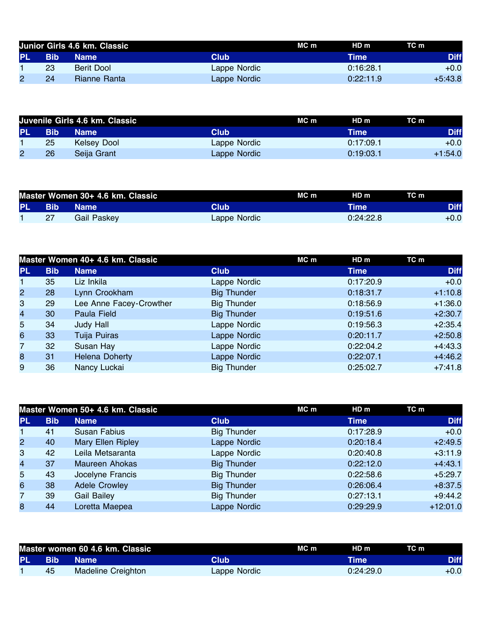|           | Junior Girls 4.6 km. Classic |              |              | MC m | HD m      | TC m        |
|-----------|------------------------------|--------------|--------------|------|-----------|-------------|
| <b>PL</b> | <b>Bib</b>                   | <b>Name</b>  | Club         |      | Time      | <b>Diff</b> |
|           | 23                           | Berit Dool   | Lappe Nordic |      | 0:16:28.1 | $+0.0$      |
| 2         | 24                           | Rianne Ranta | Lappe Nordic |      | 0:22:11.9 | $+5:43.8$   |

|           | Juvenile Girls 4.6 km. Classic |             |              | MC m | HD m      | TC m        |
|-----------|--------------------------------|-------------|--------------|------|-----------|-------------|
| <b>PL</b> | <b>Bib</b>                     | <b>Name</b> | Club         |      | Time      | <b>Diff</b> |
|           | 25                             | Kelsey Dool | Lappe Nordic |      | 0:17:09.1 | $+0.0$      |
|           | 26                             | Seija Grant | Lappe Nordic |      | 0:19:03.1 | $+1:54.0$   |

|     | Master Women 30+ 4.6 km. Classic |             |              | MC m | HD <sub>m</sub> | TC m        |
|-----|----------------------------------|-------------|--------------|------|-----------------|-------------|
| PL. | <b>Bib</b>                       | Mame \      | Club         |      | <b>Time</b>     | <b>Diff</b> |
|     |                                  | Gail Paskey | Lappe Nordic |      | 0:24:22.8       | $+0.0$      |

|                |            | Master Women 40+ 4.6 km. Classic |                    | MC m | HDm         | TC m        |
|----------------|------------|----------------------------------|--------------------|------|-------------|-------------|
| <b>PL</b>      | <b>Bib</b> | <b>Name</b>                      | <b>Club</b>        |      | <b>Time</b> | <b>Diff</b> |
|                | 35         | Liz Inkila                       | Lappe Nordic       |      | 0:17:20.9   | $+0.0$      |
| 2 <sup>1</sup> | 28         | Lynn Crookham                    | <b>Big Thunder</b> |      | 0:18:31.7   | $+1:10.8$   |
| 3              | 29         | Lee Anne Facey-Crowther          | <b>Big Thunder</b> |      | 0:18:56.9   | $+1:36.0$   |
| 4              | 30         | Paula Field                      | <b>Big Thunder</b> |      | 0:19:51.6   | $+2:30.7$   |
| 5              | 34         | Judy Hall                        | Lappe Nordic       |      | 0:19:56.3   | $+2:35.4$   |
| 6              | 33         | Tuija Puiras                     | Lappe Nordic       |      | 0:20:11.7   | $+2:50.8$   |
| $\overline{7}$ | 32         | Susan Hay                        | Lappe Nordic       |      | 0:22:04.2   | $+4:43.3$   |
| 8              | 31         | <b>Helena Doherty</b>            | Lappe Nordic       |      | 0:22:07.1   | $+4:46.2$   |
| 9              | 36         | Nancy Luckai                     | <b>Big Thunder</b> |      | 0:25:02.7   | $+7:41.8$   |

|                |            | Master Women 50+ 4.6 km. Classic |                    | MC m | HD m        | TC m        |
|----------------|------------|----------------------------------|--------------------|------|-------------|-------------|
| <b>PL</b>      | <b>Bib</b> | <b>Name</b>                      | <b>Club</b>        |      | <b>Time</b> | <b>Diff</b> |
|                | 41         | <b>Susan Fabius</b>              | <b>Big Thunder</b> |      | 0:17:28.9   | $+0.0$      |
| 2 <sup>1</sup> | 40         | Mary Ellen Ripley                | Lappe Nordic       |      | 0:20:18.4   | $+2:49.5$   |
| 3              | 42         | Leila Metsaranta                 | Lappe Nordic       |      | 0:20:40.8   | $+3:11.9$   |
| 4              | 37         | <b>Maureen Ahokas</b>            | <b>Big Thunder</b> |      | 0:22:12.0   | $+4:43.1$   |
| 5              | 43         | Jocelyne Francis                 | <b>Big Thunder</b> |      | 0:22:58.6   | $+5:29.7$   |
| 6              | 38         | <b>Adele Crowley</b>             | <b>Big Thunder</b> |      | 0:26:06.4   | $+8:37.5$   |
| $\overline{7}$ | 39         | <b>Gail Bailey</b>               | <b>Big Thunder</b> |      | 0:27:13.1   | $+9:44.2$   |
| 8              | 44         | Loretta Maepea                   | Lappe Nordic       |      | 0:29:29.9   | $+12:01.0$  |

|     | Master women 60 4.6 km. Classic |                    |              | MC m | HD m      | TC m        |
|-----|---------------------------------|--------------------|--------------|------|-----------|-------------|
| PL. | ЛЕНО.                           | <b>Name</b>        | <b>Club</b>  |      | Time'     | <b>Diff</b> |
|     | 45                              | Madeline Creighton | Lappe Nordic |      | 0:24:29.0 | $+0.0$      |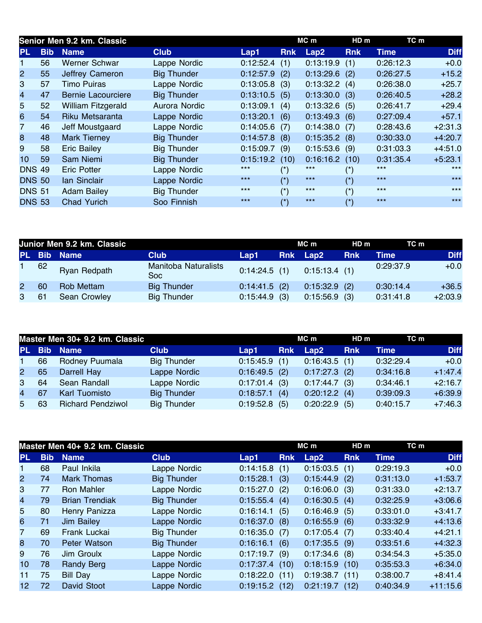|                 | Senior Men 9.2 km. Classic |                           |                    |                 |                       | MC m            | HD <sub>m</sub>     | TC m        |             |
|-----------------|----------------------------|---------------------------|--------------------|-----------------|-----------------------|-----------------|---------------------|-------------|-------------|
| <b>PL</b>       | <b>Bib</b>                 | <b>Name</b>               | <b>Club</b>        | Lap1            | <b>Rnk</b>            | Lap2            | <b>Rnk</b>          | <b>Time</b> | <b>Diff</b> |
|                 | 56                         | <b>Werner Schwar</b>      | Lappe Nordic       | 0:12:52.4       | (1)                   | 0:13:19.9       | (1)                 | 0:26:12.3   | $+0.0$      |
| $\overline{2}$  | 55                         | Jeffrey Cameron           | <b>Big Thunder</b> | 0:12:57.9       | (2)                   | 0:13:29.6       | (2)                 | 0:26:27.5   | $+15.2$     |
| 3               | 57                         | <b>Timo Puiras</b>        | Lappe Nordic       | $0:13:05.8$ (3) |                       | 0:13:32.2       | (4)                 | 0:26:38.0   | $+25.7$     |
| $\overline{4}$  | 47                         | Bernie Lacourciere        | <b>Big Thunder</b> | 0:13:10.5       | (5)                   | $0:13:30.0$ (3) |                     | 0:26:40.5   | $+28.2$     |
| 5               | 52                         | <b>William Fitzgerald</b> | Aurora Nordic      | 0:13:09.1       | (4)                   | $0:13:32.6$ (5) |                     | 0:26:41.7   | $+29.4$     |
| 6               | 54                         | Riku Metsaranta           | Lappe Nordic       | 0:13:20.1       | (6)                   | 0:13:49.3       | (6)                 | 0:27:09.4   | $+57.1$     |
| $\overline{7}$  | 46                         | Jeff Moustgaard           | Lappe Nordic       | 0:14:05.6       | (7)                   | 0:14:38.0       | (7)                 | 0:28:43.6   | $+2:31.3$   |
| 8               | 48                         | <b>Mark Tierney</b>       | <b>Big Thunder</b> | 0:14:57.8       | (8)                   | $0:15:35.2$ (8) |                     | 0:30:33.0   | $+4:20.7$   |
| 9               | 58                         | <b>Eric Bailey</b>        | <b>Big Thunder</b> | 0:15:09.7       | (9)                   | 0:15:53.6       | (9)                 | 0:31:03.3   | $+4:51.0$   |
| 10 <sup>°</sup> | 59                         | Sam Niemi                 | <b>Big Thunder</b> | 0:15:19.2       | (10)                  | 0:16:16.2       | (10)                | 0:31:35.4   | $+5:23.1$   |
| <b>DNS 49</b>   |                            | <b>Eric Potter</b>        | Lappe Nordic       | $***$           | $(\dot{\phantom{a}})$ | $***$           | $(\hbox{}^\star)$   | $***$       | $***$       |
| <b>DNS 50</b>   |                            | <b>Ian Sinclair</b>       | Lappe Nordic       | $***$           | $(*)$                 | $***$           | $(*)$               | $***$       | $***$       |
| <b>DNS 51</b>   |                            | <b>Adam Bailey</b>        | <b>Big Thunder</b> | $***$           | $(*)$                 | $***$           | $(\dot{r})$         | $***$       | $***$       |
| <b>DNS 53</b>   |                            | <b>Chad Yurich</b>        | Soo Finnish        | $***$           | $(*)$                 | $***$           | $(\dot{ }^{\ast })$ | $***$       | $***$       |

|                |    | Junior Men 9.2 km. Classic |                                     |                 | MC m |              | HD m       | TC m      |             |
|----------------|----|----------------------------|-------------------------------------|-----------------|------|--------------|------------|-----------|-------------|
|                |    | PL Bib Name                | <b>Club</b>                         | Lap1            |      | Rnk Lap2     | <b>Rnk</b> | Time      | <b>Diff</b> |
|                | 62 | Ryan Redpath               | <b>Manitoba Naturalists</b><br>Soc. | $0:14:24.5$ (1) |      | 0:15:13.4(1) |            | 0:29:37.9 | $+0.0$      |
| 2 <sup>1</sup> | 60 | <b>Rob Mettam</b>          | <b>Big Thunder</b>                  | $0:14:41.5$ (2) |      | 0:15:32.9    | (2)        | 0:30:14.4 | $+36.5$     |
| 3              | 61 | Sean Crowley               | <b>Big Thunder</b>                  | 0:15:44.9       | (3)  | 0:15:56.9    | (3)        | 0:31:41.8 | $+2:03.9$   |

| Master Men 30+ 9.2 km. Classic |    |                          |                    |                 | MC m       |                              | HD m       | TC m      |             |
|--------------------------------|----|--------------------------|--------------------|-----------------|------------|------------------------------|------------|-----------|-------------|
| <b>PL</b>                      |    | <b>Bib</b> Name          | <b>Club</b>        | Lap1            | <b>Rnk</b> | $\mathsf{L}$ ap $\mathsf{2}$ | <b>Rnk</b> | Time      | <b>Diff</b> |
| $\mathbf{1}$                   | 66 | Rodney Puumala           | <b>Big Thunder</b> | $0:15:45.9$ (1) |            | 0:16:43.5(1)                 |            | 0:32:29.4 | $+0.0$      |
| 2 <sup>2</sup>                 | 65 | Darrell Hay              | Lappe Nordic       | $0:16:49.5$ (2) |            | 0:17:27.3                    | (2)        | 0:34:16.8 | $+1:47.4$   |
| 3                              | 64 | Sean Randall             | Lappe Nordic       | $0:17:01.4$ (3) |            | 0:17:44.7                    | (3)        | 0:34:46.1 | $+2:16.7$   |
| $\overline{4}$                 | 67 | Karl Tuomisto            | <b>Big Thunder</b> | 0:18:57.1       | (4)        | 0:20:12.2                    | (4)        | 0:39:09.3 | $+6:39.9$   |
| 5                              | 63 | <b>Richard Pendziwol</b> | <b>Big Thunder</b> | 0:19:52.8       | (5)        | 0:20:22.9                    | (5)        | 0:40:15.7 | $+7:46.3$   |

|                |            | Master Men 40+ 9.2 km. Classic |                    |           | $MC$ m     |           | HD <sub>m</sub> | TC m        |             |
|----------------|------------|--------------------------------|--------------------|-----------|------------|-----------|-----------------|-------------|-------------|
| <b>PL</b>      | <b>Bib</b> | <b>Name</b>                    | <b>Club</b>        | Lap1      | <b>Rnk</b> | Lap2      | <b>Rnk</b>      | <b>Time</b> | <b>Diff</b> |
| 1              | 68         | Paul Inkila                    | Lappe Nordic       | 0:14:15.8 | (1)        | 0:15:03.5 | (1)             | 0:29:19.3   | $+0.0$      |
| $\overline{2}$ | 74         | <b>Mark Thomas</b>             | <b>Big Thunder</b> | 0:15:28.1 | (3)        | 0:15:44.9 | (2)             | 0:31:13.0   | $+1:53.7$   |
| 3              | 77         | Ron Mahler                     | Lappe Nordic       | 0:15:27.0 | (2)        | 0:16:06.0 | (3)             | 0:31:33.0   | $+2:13.7$   |
| $\overline{4}$ | 79         | <b>Brian Trendiak</b>          | <b>Big Thunder</b> | 0:15:55.4 | (4)        | 0:16:30.5 | (4)             | 0:32:25.9   | $+3:06.6$   |
| 5              | 80         | Henry Panizza                  | Lappe Nordic       | 0:16:14.1 | (5)        | 0:16:46.9 | (5)             | 0:33:01.0   | $+3:41.7$   |
| 6              | 71         | Jim Bailey                     | Lappe Nordic       | 0:16:37.0 | (8)        | 0:16:55.9 | (6)             | 0:33:32.9   | $+4:13.6$   |
| $\overline{7}$ | 69         | Frank Luckai                   | <b>Big Thunder</b> | 0:16:35.0 | (7)        | 0:17:05.4 | (7)             | 0:33:40.4   | $+4:21.1$   |
| 8              | 70         | Peter Watson                   | <b>Big Thunder</b> | 0:16:16.1 | (6)        | 0:17:35.5 | (9)             | 0:33:51.6   | $+4:32.3$   |
| 9              | 76         | Jim Groulx                     | Lappe Nordic       | 0:17:19.7 | (9)        | 0:17:34.6 | (8)             | 0:34:54.3   | $+5:35.0$   |
| 10             | 78         | <b>Randy Berg</b>              | Lappe Nordic       | 0:17:37.4 | (10)       | 0:18:15.9 | (10)            | 0:35:53.3   | $+6:34.0$   |
| 11             | 75         | Bill Day                       | Lappe Nordic       | 0:18:22.0 | (11)       | 0:19:38.7 | (11)            | 0:38:00.7   | $+8:41.4$   |
| 12             | 72         | David Stoot                    | Lappe Nordic       | 0:19:15.2 | (12)       | 0:21:19.7 | (12)            | 0:40:34.9   | $+11:15.6$  |